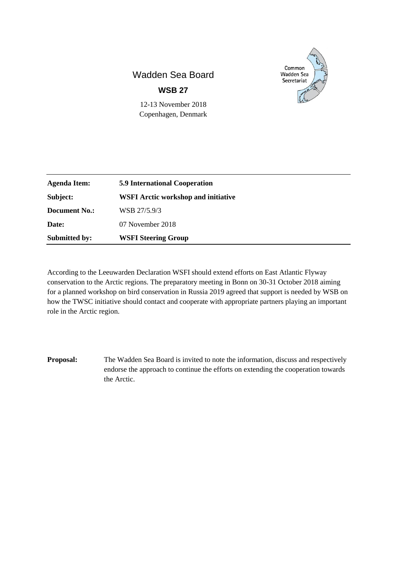## Wadden Sea Board **WSB 27**



12-13 November 2018 Copenhagen, Denmark

| <b>Agenda Item:</b>  | <b>5.9 International Cooperation</b>       |
|----------------------|--------------------------------------------|
| Subject:             | <b>WSFI Arctic workshop and initiative</b> |
| <b>Document No.:</b> | WSB 27/5.9/3                               |
| Date:                | 07 November 2018                           |
| <b>Submitted by:</b> | <b>WSFI Steering Group</b>                 |

According to the Leeuwarden Declaration WSFI should extend efforts on East Atlantic Flyway conservation to the Arctic regions. The preparatory meeting in Bonn on 30-31 October 2018 aiming for a planned workshop on bird conservation in Russia 2019 agreed that support is needed by WSB on how the TWSC initiative should contact and cooperate with appropriate partners playing an important role in the Arctic region.

**Proposal:** The Wadden Sea Board is invited to note the information, discuss and respectively endorse the approach to continue the efforts on extending the cooperation towards the Arctic.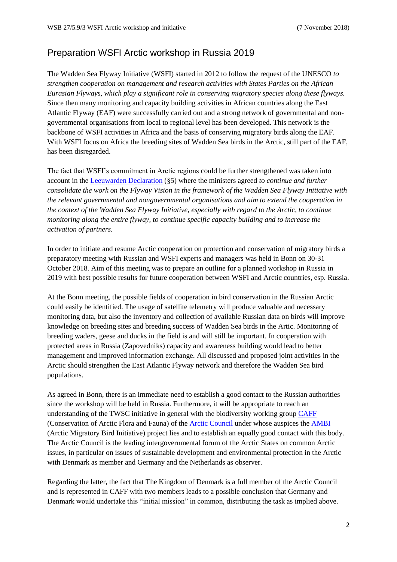## Preparation WSFI Arctic workshop in Russia 2019

The Wadden Sea Flyway Initiative (WSFI) started in 2012 to follow the request of the UNESCO *to strengthen cooperation on management and research activities with States Parties on the African Eurasian Flyways, which play a significant role in conserving migratory species along these flyways.* Since then many monitoring and capacity building activities in African countries along the East Atlantic Flyway (EAF) were successfully carried out and a strong network of governmental and nongovernmental organisations from local to regional level has been developed. This network is the backbone of WSFI activities in Africa and the basis of conserving migratory birds along the EAF. With WSFI focus on Africa the breeding sites of Wadden Sea birds in the Arctic, still part of the EAF, has been disregarded.

The fact that WSFI's commitment in Arctic regions could be further strengthened was taken into account in the [Leeuwarden Declaration](http://www.waddensea-secretariat.org/sites/default/files/downloads/leeuwarden_declaration_2018_0.pdf) (§5) where the ministers agreed *to continue and further consolidate the work on the Flyway Vision in the framework of the Wadden Sea Flyway Initiative with the relevant governmental and nongovernmental organisations and aim to extend the cooperation in the context of the Wadden Sea Flyway Initiative, especially with regard to the Arctic, to continue monitoring along the entire flyway, to continue specific capacity building and to increase the activation of partners.*

In order to initiate and resume Arctic cooperation on protection and conservation of migratory birds a preparatory meeting with Russian and WSFI experts and managers was held in Bonn on 30-31 October 2018. Aim of this meeting was to prepare an outline for a planned workshop in Russia in 2019 with best possible results for future cooperation between WSFI and Arctic countries, esp. Russia.

At the Bonn meeting, the possible fields of cooperation in bird conservation in the Russian Arctic could easily be identified. The usage of satellite telemetry will produce valuable and necessary monitoring data, but also the inventory and collection of available Russian data on birds will improve knowledge on breeding sites and breeding success of Wadden Sea birds in the Artic. Monitoring of breeding waders, geese and ducks in the field is and will still be important. In cooperation with protected areas in Russia (Zapovedniks) capacity and awareness building would lead to better management and improved information exchange. All discussed and proposed joint activities in the Arctic should strengthen the East Atlantic Flyway network and therefore the Wadden Sea bird populations.

As agreed in Bonn, there is an immediate need to establish a good contact to the Russian authorities since the workshop will be held in Russia. Furthermore, it will be appropriate to reach an understanding of the TWSC initiative in general with the biodiversity working group [CAFF](https://www.caff.is/) (Conservation of Arctic Flora and Fauna) of the [Arctic Council](https://arctic-council.org/index.php/en/) under whose auspices the [AMBI](https://www.caff.is/arctic-migratory-birds-initiative-ambi) (Arctic Migratory Bird Initiative) project lies and to establish an equally good contact with this body. The Arctic Council is the leading intergovernmental forum of the Arctic States on common Arctic issues, in particular on issues of sustainable development and environmental protection in the Arctic with Denmark as member and Germany and the Netherlands as observer.

Regarding the latter, the fact that The Kingdom of Denmark is a full member of the Arctic Council and is represented in CAFF with two members leads to a possible conclusion that Germany and Denmark would undertake this "initial mission" in common, distributing the task as implied above.